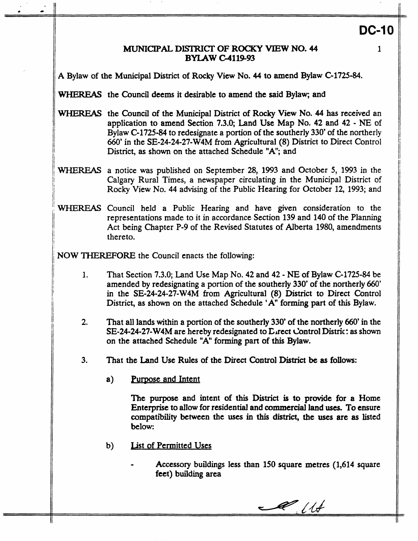# **DC-10**

**1** 

# MUNICIPAL **DE'IRICI' OF ROCKY VIEW NO. 44 BYIAW G4119-93**

**A** Bylaw of the Municipal **District** of **Rocky** View No. **44** to amend Bylaw **C-1725-84.** 

WHEREAS the Council deems it desirable to amend the said Bylaw; and

- WHEREAS the Council of the Municipal District of Rocky View No. **44 has** received an application to amend Section **7.3.0;** Land Use Map No. **42** and **42** - **NE** of Bylaw **C-1725-84** to redesignate a portion of the southerly 330' of the northerly *660'* in the **SE-24-24-27-W4M from** Agricultural **(8)** District to Direct Control District, **as shown** on the attached Schedule "A"; and
- 'WHEREAS a notice was published on September 28, 1993 and October *5,* 1993 in the Rocky View No. 44 advising of the Public Hearing for October 12, 1993; and
- WHEREAS Council held a Public Hearing and have given consideration to the representations made to it in accordance Section **139** and **140 of** the Planning Act being Chapter **P-9** of the Revised Statutes of Alberta 1980, amendments thereto.

**NOW THEREFORE** the Council enacts the following:

- **1.** That Section **7.3.0;** Land Use Map No. **42** and **42 NE of** Bylaw **C-1725-84** be amended by redesignating a portion of the southerly 330' of the northerly *660'*  in the **SE-24-24-27-W4M** from Agricultural **(8)** District **to** Direct Control District, as shown on the attached Schedule 'A" forming part of this Bylaw.
- **2.** That all lands within **a** portion of the southerly 330' **of** the **northerly** 660' in the SE-24-24-27-W4M are hereby redesignated to Lirect Control Distric: as shown on the attached Schedule "A" **forming** part **of** this Bylaw.
- **3.** That the Land Use Rules of the **Direct Control** District be **as** follows:
	- a) Purpose and Intent

The **purpose** and intent of **this District** is **to** provide for **a Home**  Enterprise **to** allow for residential and commercial land **uses. To** ensure compatibility between the uses **in this** district, **the uses** are **as** listed below:

- **b)** Jist **of** Permitted **Uses** 
	- .. **Accessory** buildings less than **150** square **metres (1,614** square feet) **building area**

 $\ell$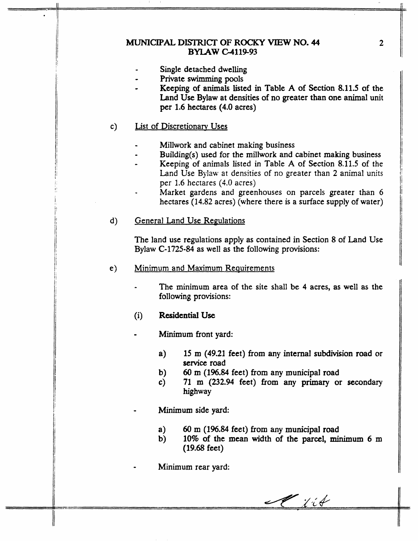# MUNICIPAL **DISTRIC" OF ROCKY VIEW NO. 44 BYLAW C-4119-93**

- Single detached dwelling
- Private swimming pools
- **Keeping** of animals listed in Table **A of** Section **8.11.5** of the **Land Use** Bylaw at densities of no greater **than** one animal unit per **1.6** hectares **(4.0** acres)

#### List of Discretionam Uses  $c)$

, -- .

- Millwork and cabinet making business
- BuiIding(s) used for the millwork **and** cabinet making business ..
- Keeping of animals listed in Table **A** of Section 8.11.5 of the - Land Use Bylaw at densities of no greater than 2 animal units **per** 1.6 hectares (4.0 acres)
- Market gardens and greenhouses on parcels greater than 6 hectares (14.82 acres) (where there is a surface supply of water) **m**
- $\mathbf{d}$ ) **General Land Use Regulations**

The land use regulations apply **as** contained in Section 8 of Land Use Bylaw **C-1725-84 as** well as the following provisions:

- *e)* Minimum **and Maximum** Requirements
	- *I* The minimum area of the site shall be **4** acres, **as** well **as** the following provisions:
	- (i) **Residential Use**
	- **Minimum** front yard:
		- **a) 15 m (49.21** feet) **from** any internal subdivision road ar **service** road
		- **b)**  *60* **m (196.84** feet) **from** any municipal road
		- *c)*  **'71** m **(232.94** feet) **from** any primary or secondary highway
		- Minimum side yard:
			- **a)**  *60* **m (I%& feet) from any** municipal road
			- **b) 10%** of the **mean** width of **the parcel, minimum** 6 m **(19.68** feet)
		- Minimum rear yard:

 $\mathscr{H}$  is the

**2**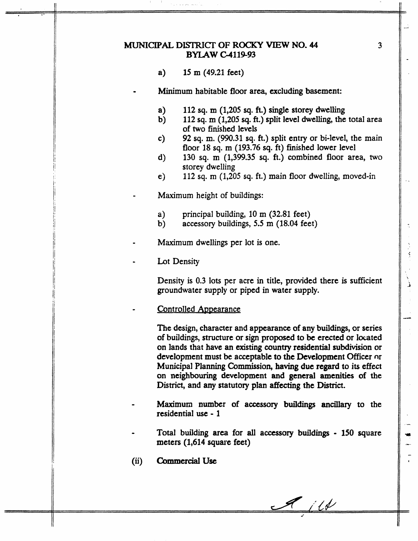# MUNICIPAL **DISTRICT OF ROCKY VIEW NO. 44 BYLAW G4119-93**

- **a) 15** m **(49.21** feet)
- **Minimum** habitable floor area, **excluding** basement:
	- **a) 112 sq. m (1,205 sq.** ft.) **single** storey dwelling
- b) **112 sq.** m **(1,205 sq. fi.)** split level dwelling, the total area of two finished levels

**3** 

لأ

- **c)**  92 **sq.** m. (990.31 **sq. ft.)** split entry or bi-level, the main floor 18 **sq. m (193.76 sq. ft)** finished lower level
- d) **130 sq.** m **(1,399.35 sq.** ft.) combined floor area, *two*  storey dwelling
- e) **112 sq.** m **(1,205 sq.** ft.) main floor dwelling, moved-in
- Maximum height of buildings:
	- **a)**  principal building, 10 m **(32.81** feet)
	- **b)**  accessory buildings, *5.5* m (18.04 feet)
- Maximum dwellings per lot is one.
- Lot Density

Density is 0.3 lots per acre in title, provided there is sufficient groundwater supply or piped in water supply.

### Controlled Appearance

**The design,** character and appearance **of** any buildings, or series of **buildings,** structure **or sign** proposed to be erected or located on lands that have **an** existing **country** residential **subdivision** or development **must** be acceptable **to** the Development Officer nr Municipal Planning Commission, having due regard **to** its effect **on** neighbowing development and general **amenities** of **the District,** and any statutory plan **affecting** the District.

- **Maximum** number of **accessory buildings** ancillary to the residential **use** - **1**
- **Total building area** for **all** accessory buildings **150** square meters **(1,614** square feet)
- **(ii) COmrnercialUse**

 $\mathcal{A}$  ill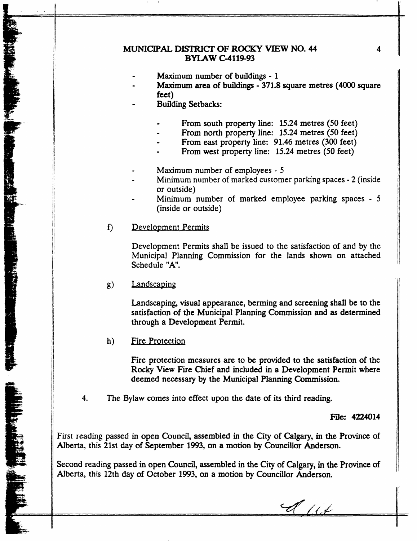# MUNICIPAL **DISTRICT OF ROCKY VIEW NO. 44 4 BYIAW G4119-93**

- Maximum **number of** buildings **1**
- **Maximum area of buildings 371.8** square metres (4OOO square feet)
- Building **Setbacks:** 
	- .. From south property **line: 15.24** metres **(50** feet)
	- From north property line: **15.24** metres **(50** feet)
	- From **east** property **line: 91.46 metres (300** feet) ..
	- From west property line: **15.24** metres **(50** feet)
- Maximum number of employees 5
- Minimum number of marked customer parking spaces 2 (inside or outside)
- Minimum number of marked employee parking spaces *<sup>5</sup>* (inside or outside) -
- $f$ Development Permits

Development Permits shall **be** issued to the satisfaction of and **by** the Municipal Planning Commission for the lands shown **on** attached Schedule "A".

 $g)$ Landscaping

> Landscaping, visual appearance, berming and screening shall **be to** the satisfaction **of the** Municipal Planning Commission and **as** determined through a **Development** Permit.

Fire Protection  $h)$ 

.& ..- -

**THE RESPONSE IN STREET AND LONGED AT LANGE IN A STREET AND LONGED AT LCCC.** 

**Fire** protection measures **are to be provided to** the satisfaction of the **Rocky** View **Fire** Chief and included in **a** Development Permit where deemed **necessary by the Municipal Planning** Commission.

**4.** The Bylaw **comes** into effect **upon** the date of its third reading.

**File: 4224014** 

First reading passed in **open Council, assembled in the City of Calgary,** in the **Province** of Alberta, this **21st** day **of** September 1993, on **a** motion **by Councillor** Anderson.

Second reading passed in open **Council, assembled** in the City of Calgary, **in the Province of**  Alberta, this 12th day of October 1993, on **a** motion **by** Councillor Anderson.

 $\mathscr{A}$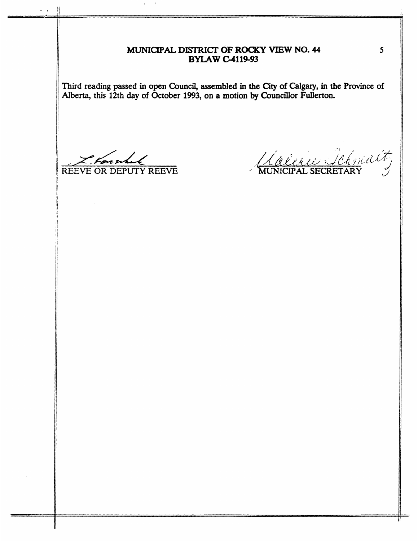# *MUNICIPAL* **DISTRICI' OF ROCKY VIEW NO. 44 BYIAW -119-93**

**Third reading passed in open Council, assembled in the aty of** *Calgary,* **in the Province of**  Alberta, **this 12th day of October 1993, on a motion by Councillor Fullerton.** 

marchal REEVE OR DEPUTY REEVE

.,

Laceur Schmalt